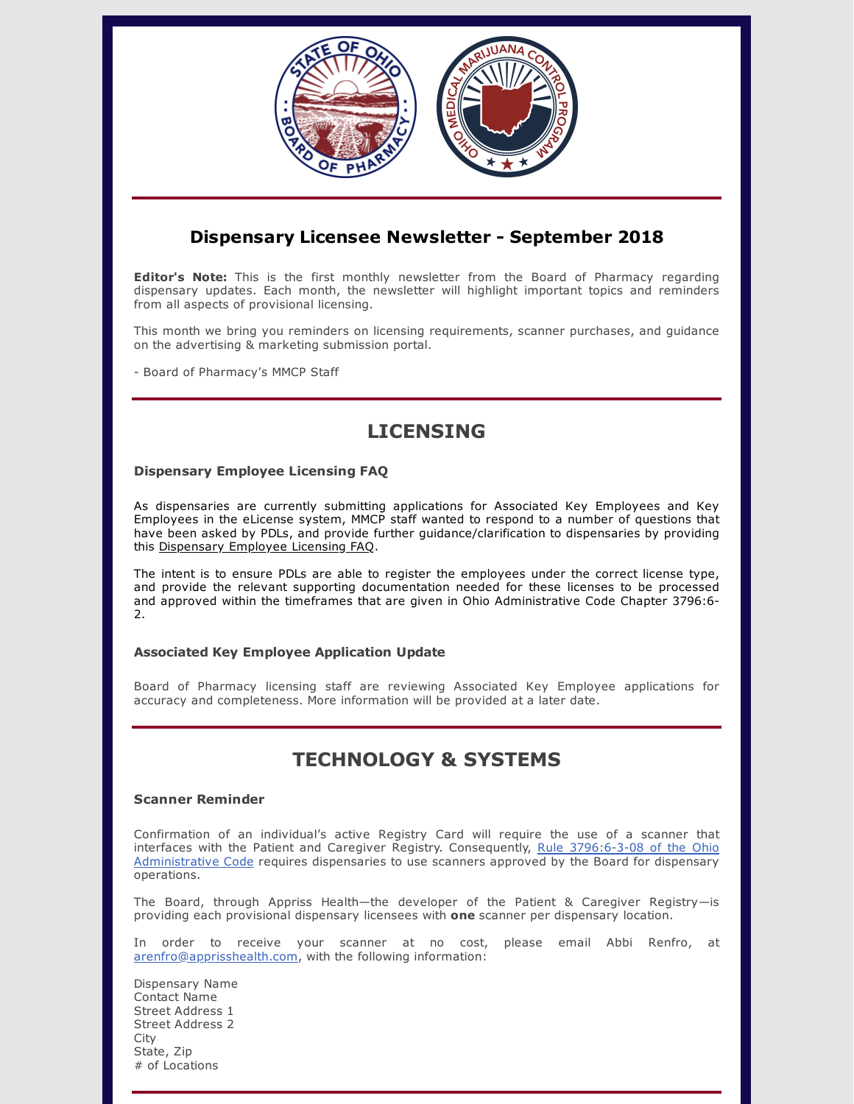

## **Dispensary Licensee Newsletter - September 2018**

**Editor's Note:** This is the first monthly newsletter from the Board of Pharmacy regarding dispensary updates. Each month, the newsletter will highlight important topics and reminders from all aspects of provisional licensing.

This month we bring you reminders on licensing requirements, scanner purchases, and guidance on the advertising & marketing submission portal.

- Board of Pharmacy's MMCP Staff

# **LICENSING**

### **Dispensary Employee Licensing FAQ**

As dispensaries are currently submitting applications for Associated Key Employees and Key Employees in the eLicense system, MMCP staff wanted to respond to a number of questions that have been asked by PDLs, and provide further guidance/clarification to dispensaries by providing this [Dispensary](https://medicalmarijuana.ohio.gov/Documents/LicenseeResources/Dispensary%20Licensee%20Resources/Dispensary%20Employee%20Licensing%20FAQ%20August%202018.pdf) Employee Licensing FAQ.

The intent is to ensure PDLs are able to register the employees under the correct license type, and provide the relevant supporting documentation needed for these licenses to be processed and approved within the timeframes that are given in Ohio Administrative Code Chapter 3796:6- 2.

### **Associated Key Employee Application Update**

Board of Pharmacy licensing staff are reviewing Associated Key Employee applications for accuracy and completeness. More information will be provided at a later date.

# **TECHNOLOGY & SYSTEMS**

### **Scanner Reminder**

Confirmation of an individual's active Registry Card will require the use of a scanner that interfaces with the Patient and Caregiver Registry. [Consequently,](http://codes.ohio.gov/oac/3796:6-3-08) Rule 3796:6-3-08 of the Ohio Administrative Code requires dispensaries to use scanners approved by the Board for dispensary operations.

The Board, through Appriss Health—the developer of the Patient & Caregiver Registry—is providing each provisional dispensary licensees with **one** scanner per dispensary location.

In order to receive your scanner at no cost, please email Abbi Renfro, at [arenfro@apprisshealth.com,](mailto:arenfro@apprisshealth.com) with the following information:

Dispensary Name Contact Name Street Address 1 Street Address 2 **City** State, Zip # of Locations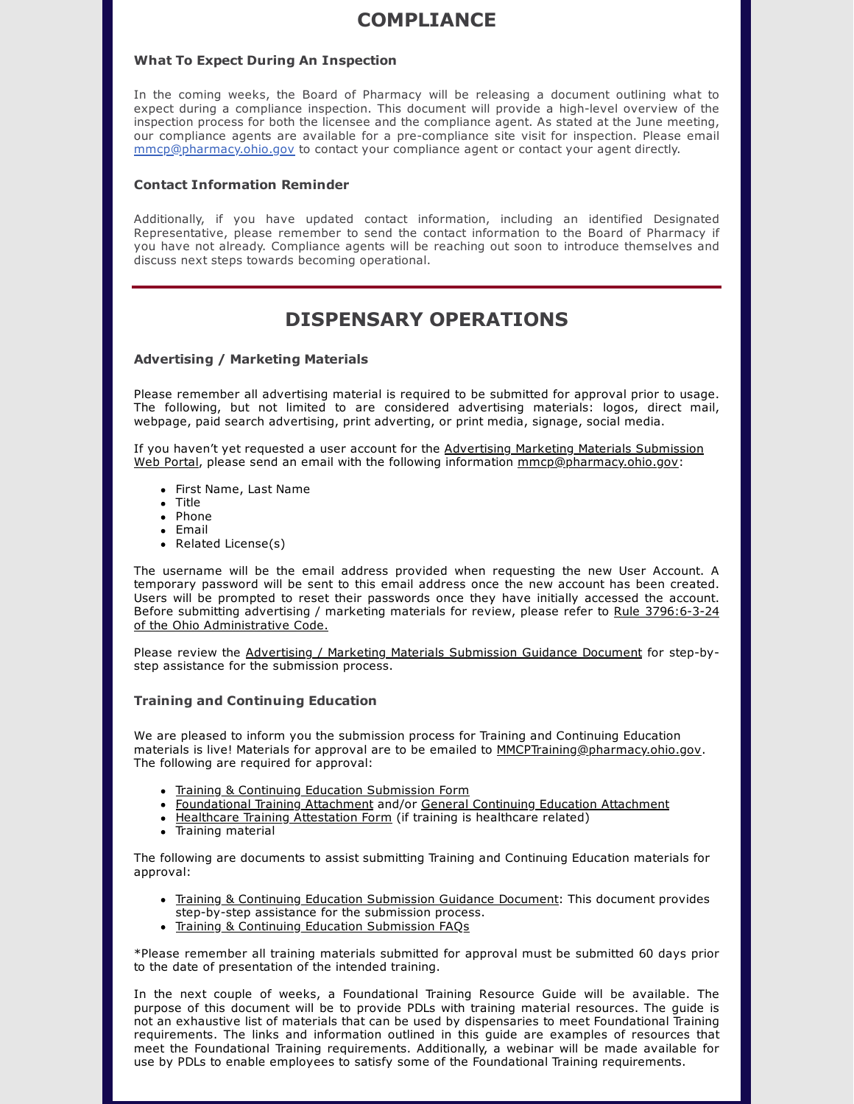## **COMPLIANCE**

### **What To Expect During An Inspection**

In the coming weeks, the Board of Pharmacy will be releasing a document outlining what to expect during a compliance inspection. This document will provide a high-level overview of the inspection process for both the licensee and the compliance agent. As stated at the June meeting, our compliance agents are available for a pre-compliance site visit for inspection. Please email [mmcp@pharmacy.ohio.gov](mailto:mmcp@pharmacy.ohio.gov) to contact your compliance agent or contact your agent directly.

### **Contact Information Reminder**

Additionally, if you have updated contact information, including an identified Designated Representative, please remember to send the contact information to the Board of Pharmacy if you have not already. Compliance agents will be reaching out soon to introduce themselves and discuss next steps towards becoming operational.

# **DISPENSARY OPERATIONS**

#### **Advertising / Marketing Materials**

Please remember all advertising material is required to be submitted for approval prior to usage. The following, but not limited to are considered advertising materials: logos, direct mail, webpage, paid search advertising, print adverting, or print media, signage, social media.

If you haven't yet requested a user account for the Advertising Marketing Materials Submission Web Portal, please send an email with the following information [mmcp@pharmacy.ohio.gov:](https://www.medicalmarijuana.ohio.gov/Account/Signin)

- First Name, Last Name
- Title
- Phone
- $\bullet$  Fmail
- Related License(s)

The username will be the email address provided when requesting the new User Account. A temporary password will be sent to this email address once the new account has been created. Users will be prompted to reset their passwords once they have initially accessed the account. Before submitting advertising / marketing materials for review, please refer to Rule 3796:6-3-24 of the Ohio [Administrative](http://codes.ohio.gov/oac/3796:6-3-24) Code.

Please review the Advertising / Marketing Materials [Submission](https://www.medicalmarijuana.ohio.gov/Documents/LicenseeResources/Dispensary%20Licensee%20Resources/Advertising%20Marketing%20Submission%20Guidance%20Document.pdf) Guidance Document for step-bystep assistance for the submission process.

#### **Training and Continuing Education**

We are pleased to inform you the submission process for Training and Continuing Education materials is live! Materials for approval are to be emailed to [MMCPTraining@pharmacy.ohio.gov](mailto:MMCPTraining@pharmacy.ohio.gov). The following are required for approval:

- Training & Continuing Education [Submission](https://www.medicalmarijuana.ohio.gov/Documents/LicenseeResources/Dispensary%20Licensee%20Resources/Training%20&%20Continuing%20Education%20Submission%20Form.pdf) Form
- [Foundational](https://www.medicalmarijuana.ohio.gov/Documents/LicenseeResources/Dispensary%20Licensee%20Resources/Training%20&%20Continuing%20Education%20Submission%20Form%20-%20Foundational%20Training%20Attachment.pdf) Training Attachment and/or General Continuing Education [Attachment](https://www.medicalmarijuana.ohio.gov/Documents/LicenseeResources/Dispensary%20Licensee%20Resources/Training%20&%20Continuing%20Education%20Submission%20Form%20-%20CE%20Attachment.pdf)
- Healthcare Training [Attestation](https://www.medicalmarijuana.ohio.gov/Documents/LicenseeResources/Dispensary%20Licensee%20Resources/Healthcare%20Training%20Attestation.pdf) Form (if training is healthcare related)
- Training material

The following are documents to assist submitting Training and Continuing Education materials for approval:

- Training & Continuing Education [Submission](https://www.medicalmarijuana.ohio.gov/Documents/LicenseeResources/Dispensary%20Licensee%20Resources/Training%20&%20Continuing%20Education%20Submission%20Guidance%20Document.pdf) Guidance Document: This document provides step-by-step assistance for the submission process.
- Training & Continuing Education [Submission](https://www.medicalmarijuana.ohio.gov/Documents/LicenseeResources/Dispensary%20Licensee%20Resources/Training%20&%20Continuing%20Education%20FAQ.pdf) FAQs

\*Please remember all training materials submitted for approval must be submitted 60 days prior to the date of presentation of the intended training.

In the next couple of weeks, a Foundational Training Resource Guide will be available. The purpose of this document will be to provide PDLs with training material resources. The guide is not an exhaustive list of materials that can be used by dispensaries to meet Foundational Training requirements. The links and information outlined in this guide are examples of resources that meet the Foundational Training requirements. Additionally, a webinar will be made available for use by PDLs to enable employees to satisfy some of the Foundational Training requirements.